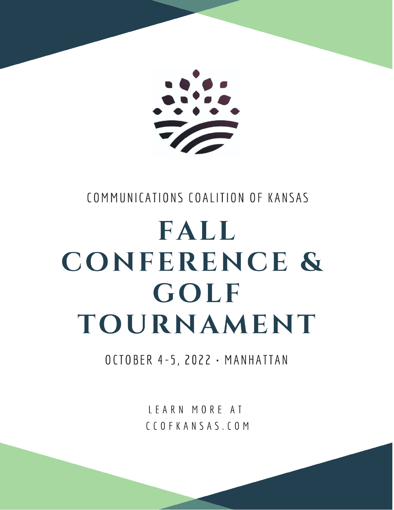

### COMMUNICATIONS COALITION OF KANSAS

# FALL CONFERENCE & GOLF TOURNAMENT

OCTOBER 4-5, 2022 · MANHATTAN

LEARN MORE AT CCOFKANSAS.COM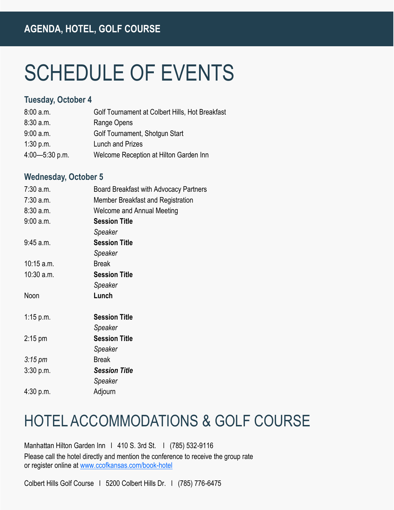## SCHEDULE OF EVENTS

#### **Tuesday, October 4**

| 8:00 a.m.          | Golf Tournament at Colbert Hills, Hot Breakfast |
|--------------------|-------------------------------------------------|
| 8:30 a.m.          | Range Opens                                     |
| 9:00 a.m.          | Golf Tournament, Shotgun Start                  |
| 1:30 p.m.          | <b>Lunch and Prizes</b>                         |
| $4:00 - 5:30$ p.m. | Welcome Reception at Hilton Garden Inn          |

#### **Wednesday, October 5**

| $7:30$ a.m.         | Board Breakfast with Advocacy Partners |
|---------------------|----------------------------------------|
| 7:30 a.m.           | Member Breakfast and Registration      |
| 8:30 a.m.           | <b>Welcome and Annual Meeting</b>      |
| 9:00 a.m.           | <b>Session Title</b>                   |
|                     | Speaker                                |
| 9:45 a.m.           | <b>Session Title</b>                   |
|                     | Speaker                                |
| $10:15$ a.m.        | <b>Break</b>                           |
| $10:30$ a.m.        | <b>Session Title</b>                   |
|                     | Speaker                                |
| Noon                | Lunch                                  |
|                     |                                        |
|                     |                                        |
| 1:15 p.m.           | <b>Session Title</b>                   |
|                     | Speaker                                |
| $2:15 \text{ pm}$   | <b>Session Title</b>                   |
|                     | Speaker                                |
| $3:15 \, \text{pm}$ | <b>Break</b>                           |
| 3:30 p.m.           | <b>Session Title</b>                   |
|                     | Speaker                                |
| 4:30 p.m.           | Adjourn                                |

### HOTEL ACCOMMODATIONS & GOLF COURSE

Manhattan Hilton Garden Inn | 410 S. 3rd St. | (785) 532-9116 Please call the hotel directly and mention the conference to receive the group rate or register online at [www.ccofkansas.com/book-hotel](https://www.hilton.com/en/attend-my-event/mangigi-ccks22-1d71f0d7-a72b-4d05-ac90-24fe93aa5490/)

Colbert Hills Golf Course l 5200 Colbert Hills Dr. l (785) 776-6475